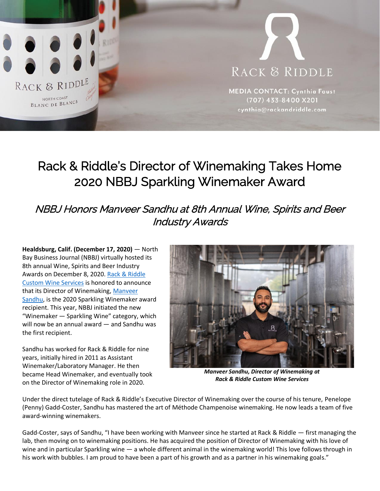

# RACK & RIDDLE

**MEDIA CONTACT: Cynthia Faust** (707) 433-8400 X201 cynthia@rackandriddle.com

## Rack & Riddle's Director of Winemaking Takes Home 2020 NBBJ Sparkling Winemaker Award

### NBBJ Honors Manveer Sandhu at 8th Annual Wine, Spirits and Beer Industry Awards

**Healdsburg, Calif. (December 17, 2020)** — North Bay Business Journal (NBBJ) virtually hosted its 8th annual Wine, Spirits and Beer Industry Awards on December 8, 2020. [Rack & Riddle](https://www.rackandriddle.com/)  [Custom Wine Services](https://www.rackandriddle.com/) is honored to announce that its Director of Winemaking, [Manveer](https://www.rackandriddle.com/project/our-winemakers/#manveer)  [Sandhu,](https://www.rackandriddle.com/project/our-winemakers/#manveer) is the 2020 Sparkling Winemaker award recipient. This year, NBBJ initiated the new "Winemaker — Sparkling Wine" category, which will now be an annual award — and Sandhu was the first recipient.

Sandhu has worked for Rack & Riddle for nine years, initially hired in 2011 as Assistant Winemaker/Laboratory Manager. He then became Head Winemaker, and eventually took on the Director of Winemaking role in 2020.



*Manveer Sandhu, Director of Winemaking at Rack & Riddle Custom Wine Services*

Under the direct tutelage of Rack & Riddle's Executive Director of Winemaking over the course of his tenure, Penelope (Penny) Gadd-Coster, Sandhu has mastered the art of Méthode Champenoise winemaking. He now leads a team of five award-winning winemakers.

Gadd-Coster, says of Sandhu, "I have been working with Manveer since he started at Rack & Riddle — first managing the lab, then moving on to winemaking positions. He has acquired the position of Director of Winemaking with his love of wine and in particular Sparkling wine — a whole different animal in the winemaking world! This love follows through in his work with bubbles. I am proud to have been a part of his growth and as a partner in his winemaking goals."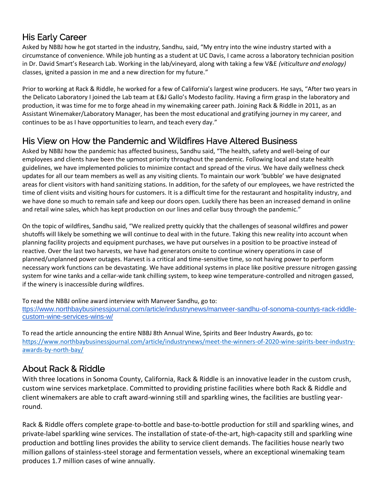#### His Early Career

Asked by NBBJ how he got started in the industry, Sandhu, said, "My entry into the wine industry started with a circumstance of convenience. While job hunting as a student at UC Davis, I came across a laboratory technician position in Dr. David Smart's Research Lab. Working in the lab/vineyard, along with taking a few V&E *(viticulture and enology)* classes, ignited a passion in me and a new direction for my future."

Prior to working at Rack & Riddle, he worked for a few of California's largest wine producers. He says, "After two years in the Delicato Laboratory I joined the Lab team at E&J Gallo's Modesto facility. Having a firm grasp in the laboratory and production, it was time for me to forge ahead in my winemaking career path. Joining Rack & Riddle in 2011, as an Assistant Winemaker/Laboratory Manager, has been the most educational and gratifying journey in my career, and continues to be as I have opportunities to learn, and teach every day."

#### His View on How the Pandemic and Wildfires Have Altered Business

Asked by NBBJ how the pandemic has affected business, Sandhu said, "The health, safety and well-being of our employees and clients have been the upmost priority throughout the pandemic. Following local and state health guidelines, we have implemented policies to minimize contact and spread of the virus. We have daily wellness check updates for all our team members as well as any visiting clients. To maintain our work 'bubble' we have designated areas for client visitors with hand sanitizing stations. In addition, for the safety of our employees, we have restricted the time of client visits and visiting hours for customers. It is a difficult time for the restaurant and hospitality industry, and we have done so much to remain safe and keep our doors open. Luckily there has been an increased demand in online and retail wine sales, which has kept production on our lines and cellar busy through the pandemic."

On the topic of wildfires, Sandhu said, "We realized pretty quickly that the challenges of seasonal wildfires and power shutoffs will likely be something we will continue to deal with in the future. Taking this new reality into account when planning facility projects and equipment purchases, we have put ourselves in a position to be proactive instead of reactive. Over the last two harvests, we have had generators onsite to continue winery operations in case of planned/unplanned power outages. Harvest is a critical and time-sensitive time, so not having power to perform necessary work functions can be devastating. We have additional systems in place like positive pressure nitrogen gassing system for wine tanks and a cellar-wide tank chilling system, to keep wine temperature-controlled and nitrogen gassed, if the winery is inaccessible during wildfires.

To read the NBBJ online award interview with Manveer Sandhu, go to:

[ttps://www.northbaybusinessjournal.com/article/industrynews/manveer-sandhu-of-sonoma-countys-rack-riddle](https://www.northbaybusinessjournal.com/article/industrynews/manveer-sandhu-of-sonoma-countys-rack-riddle-custom-wine-services-wins-w/)[custom-wine-services-wins-w/](https://www.northbaybusinessjournal.com/article/industrynews/manveer-sandhu-of-sonoma-countys-rack-riddle-custom-wine-services-wins-w/)

To read the article announcing the entire NBBJ 8th Annual Wine, Spirits and Beer Industry Awards, go to: [https://www.northbaybusinessjournal.com/article/industrynews/meet-the-winners-of-2020-wine-spirits-beer-industry](https://www.northbaybusinessjournal.com/article/industrynews/meet-the-winners-of-2020-wine-spirits-beer-industry-awards-by-north-bay/)[awards-by-north-bay/](https://www.northbaybusinessjournal.com/article/industrynews/meet-the-winners-of-2020-wine-spirits-beer-industry-awards-by-north-bay/)

#### About Rack & Riddle

With three locations in Sonoma County, California, Rack & Riddle is an innovative leader in the custom crush, custom wine services marketplace. Committed to providing pristine facilities where both Rack & Riddle and client winemakers are able to craft award-winning still and sparkling wines, the facilities are bustling yearround.

Rack & Riddle offers complete grape-to-bottle and base-to-bottle production for still and sparkling wines, and private-label sparkling wine services. The installation of state-of-the-art, high-capacity still and sparkling wine production and bottling lines provides the ability to service client demands. The facilities house nearly two million gallons of stainless-steel storage and fermentation vessels, where an exceptional winemaking team produces 1.7 million cases of wine annually.